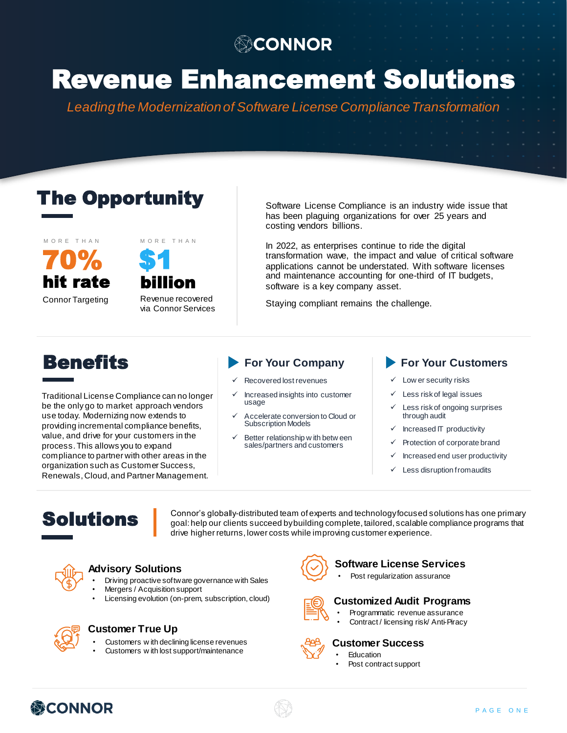### **@CONNOR**

# Revenue Enhancement Solutions

*Leading the Modernization of Software License Compliance Transformation*

### The Opportunity



Connor Targeting



Revenue recovered via Connor Services

Software License Compliance is an industry wide issue that has been plaguing organizations for over 25 years and costing vendors billions.

In 2022, as enterprises continue to ride the digital transformation wave, the impact and value of critical software applications cannot be understated. With software licenses and maintenance accounting for one-third of IT budgets, software is a key company asset.

Staying compliant remains the challenge.

## **Benefits**

Traditional License Compliance can no longer be the only go to market approach vendors use today. Modernizing now extends to providing incremental compliance benefits, value, and drive for your customers in the process. This allows you to expand compliance to partner with other areas in the organization such as Customer Success, Renewals, Cloud, and Partner Management.

- Recovered lost revenues
- ✓ Increased insights into customer usage
- ✓ Accelerate conversion to Cloud or Subscription Models
- Better relationship w ith betw een sales/partners and customers

### **For Your Company For Your Customers**

- ✓ Low er security risks
- Less risk of legal issues
- Less risk of ongoing surprises through audit
- Increased IT productivity
- Protection of corporate brand
- ✓ Increased end user productivity
- Less disruption from audits

### Solutions

Connor's globally-distributed team of experts and technology focused solutions has one primary goal: help our clients succeed by building complete, tailored, scalable compliance programs that drive higher returns, lower costs while improving customer experience.



### **Advisory Solutions**

- Driving proactive software governance with Sales
- Mergers / Acquisition support
- Licensing evolution (on-prem, subscription, cloud)



### **Customer True Up**

- Customers w ith declining license revenues
- Customers w ith lost support/maintenance



### **Software License Services**

Post regularization assurance



#### **Customized Audit Programs**

- Programmatic revenue assurance
- Contract / licensing risk/ Anti-Piracy



### **Customer Success**

**Education** • Post contract support

緑CONNOR